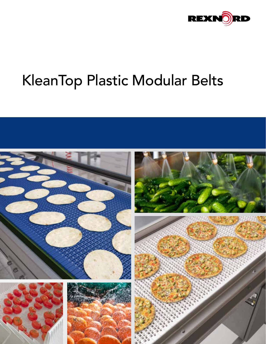

## KleanTop Plastic Modular Belts

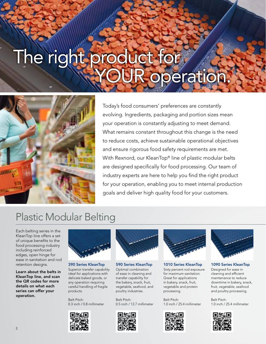# The right product for peration



Today's food consumers' preferences are constantly evolving. Ingredients, packaging and portion sizes mean your operation is constantly adjusting to meet demand. What remains constant throughout this change is the need to reduce costs, achieve sustainable operational objectives and ensure rigorous food safety requirements are met. With Rexnord, our KleanTop® line of plastic modular belts are designed specifically for food processing. Our team of industry experts are here to help you find the right product for your operation, enabling you to meet internal production goals and deliver high quality food for your customers.

### Plastic Modular Belting

Each belting series in the KleanTop line offers a set of unique benefits to the food processing industry including reinforced edges, open hinge for ease in sanitation and rod retention designs.

Learn about the belts in KleanTop line, and scan the QR codes for more details on what each series can offer your operation.



390 Series KleanTop Superior transfer capability ideal for applications with delicate baked goods, or any operation requiring careful handling of fragile products.

Belt Pitch: 0.3 inch / 0.8 millimeter





590 Series KleanTop Optimal combination of ease in cleaning and transfer capability for the bakery, snack, fruit, vegetable, seafood, and poultry industries.

Belt Pitch: 0.5 inch / 12.7 millimeter





1010 Series KleanTop Sixty percent rod exposure for maximum sanitation. Great for applications in bakery, snack, fruit, vegetable and protein processing.

Belt Pitch: 1.0 inch / 25.4 millimeter





1090 Series KleanTop Designed for ease in cleaning and efficient maintenance to reduce downtime in bakery, snack, fruit, vegetable, seafood and poultry processing.

Belt Pitch: 1.0 inch / 25.4 millimeter

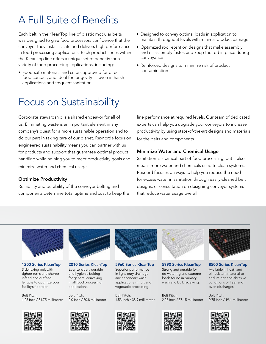### A Full Suite of Benefits

Each belt in the KleanTop line of plastic modular belts was designed to give food processors confidence that the conveyor they install is safe and delivers high performance in food processing applications. Each product series within the KleanTop line offers a unique set of benefits for a variety of food processing applications, including:

- Food-safe materials and colors approved for direct food contact, and ideal for longevity — even in harsh applications and frequent sanitation
- Designed to convey optimal loads in application to maintain throughput levels with minimal product damage
- Optimized rod retention designs that make assembly and disassembly faster, and keep the rod in place during conveyance
- Reinforced designs to minimize risk of product contamination

### Focus on Sustainability

Corporate stewardship is a shared endeavor for all of us. Eliminating waste is an important element in any company's quest for a more sustainable operation and to do our part in taking care of our planet. Rexnord's focus on engineered sustainability means you can partner with us for products and support that guarantee optimal product handling while helping you to meet productivity goals and minimize water and chemical usage.

#### Optimize Productivity

Reliability and durability of the conveyor belting and components determine total uptime and cost to keep the line performance at required levels. Our team of dedicated experts can help you upgrade your conveyors to increase productivity by using state-of-the-art designs and materials for the belts and components.

#### Minimize Water and Chemical Usage

Sanitation is a critical part of food processing, but it also means more water and chemicals used to clean systems. Rexnord focuses on ways to help you reduce the need for excess water in sanitation through easily-cleaned belt designs, or consultation on designing conveyor systems that reduce water usage overall.



1200 Series KleanTop Sideflexing belt with tighter turns and shorter infeed and outfeed lengths to optimize your facility's floorplan.

Belt Pitch: 1.25 inch / 31.75 millimeter



2010 Series KleanTop Easy-to-clean, durable and hygienic belting for general conveying in all food processing applications.

Belt Pitch: 2.0 inch / 50.8 millimeter



5960 Series KleanTop Superior performance in light-duty drainage and secondary wash applications in fruit and vegetable processing.

Belt Pitch: 1.53 inch / 38.9 millimeter



5990 Series KleanTop Strong and durable for de-watering and extreme loads found in primary wash and bulk receiving.

Belt Pitch: 2.25 inch / 57.15 millimeter





8500 Series KleanTop Available in heat- and oil-resistant material to endure hot and abrasive conditions of fryer and oven discharges.

Belt Pitch: 0.75 inch / 19.1 millimeter